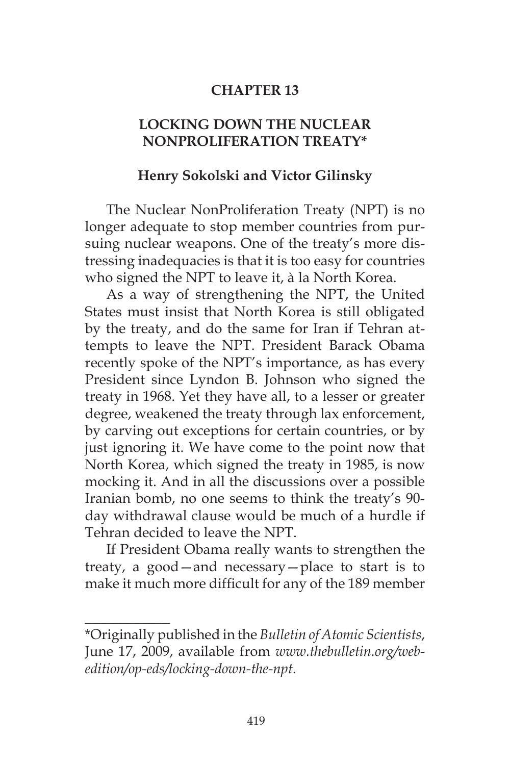## **CHAPTER 13**

## **LOCKING DOWN THE NUCLEAR NONPROLIFERATION TREATY\***

## **Henry Sokolski and Victor Gilinsky**

The Nuclear NonProliferation Treaty (NPT) is no longer adequate to stop member countries from pursuing nuclear weapons. One of the treaty's more distressing inadequacies is that it is too easy for countries who signed the NPT to leave it, à la North Korea.

As a way of strengthening the NPT, the United States must insist that North Korea is still obligated by the treaty, and do the same for Iran if Tehran attempts to leave the NPT. President Barack Obama recently spoke of the NPT's importance, as has every President since Lyndon B. Johnson who signed the treaty in 1968. Yet they have all, to a lesser or greater degree, weakened the treaty through lax enforcement, by carving out exceptions for certain countries, or by just ignoring it. We have come to the point now that North Korea, which signed the treaty in 1985, is now mocking it. And in all the discussions over a possible Iranian bomb, no one seems to think the treaty's 90 day withdrawal clause would be much of a hurdle if Tehran decided to leave the NPT.

If President Obama really wants to strengthen the treaty, a good—and necessary—place to start is to make it much more difficult for any of the 189 member

 $\overline{\phantom{a}}$ 

<sup>\*</sup>Originally published in the *Bulletin of Atomic Scientists*, June 17, 2009, available from *www.thebulletin.org/webedition/op-eds/locking-down-the-npt*.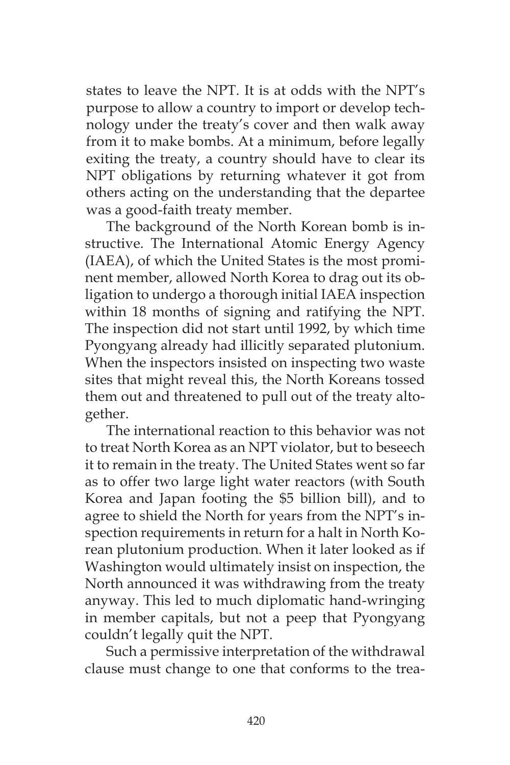states to leave the NPT. It is at odds with the NPT's purpose to allow a country to import or develop technology under the treaty's cover and then walk away from it to make bombs. At a minimum, before legally exiting the treaty, a country should have to clear its NPT obligations by returning whatever it got from others acting on the understanding that the departee was a good-faith treaty member.

The background of the North Korean bomb is instructive. The International Atomic Energy Agency (IAEA), of which the United States is the most prominent member, allowed North Korea to drag out its obligation to undergo a thorough initial IAEA inspection within 18 months of signing and ratifying the NPT. The inspection did not start until 1992, by which time Pyongyang already had illicitly separated plutonium. When the inspectors insisted on inspecting two waste sites that might reveal this, the North Koreans tossed them out and threatened to pull out of the treaty altogether.

The international reaction to this behavior was not to treat North Korea as an NPT violator, but to beseech it to remain in the treaty. The United States went so far as to offer two large light water reactors (with South Korea and Japan footing the \$5 billion bill), and to agree to shield the North for years from the NPT's inspection requirements in return for a halt in North Korean plutonium production. When it later looked as if Washington would ultimately insist on inspection, the North announced it was withdrawing from the treaty anyway. This led to much diplomatic hand-wringing in member capitals, but not a peep that Pyongyang couldn't legally quit the NPT.

Such a permissive interpretation of the withdrawal clause must change to one that conforms to the trea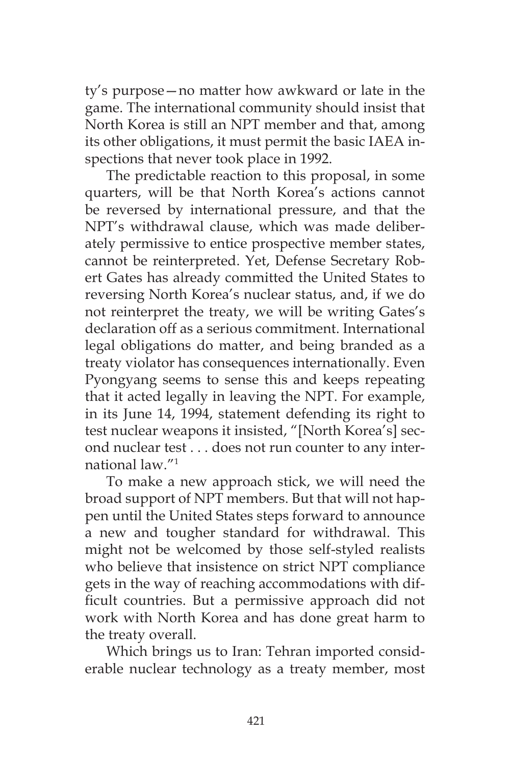ty's purpose—no matter how awkward or late in the game. The international community should insist that North Korea is still an NPT member and that, among its other obligations, it must permit the basic IAEA inspections that never took place in 1992.

The predictable reaction to this proposal, in some quarters, will be that North Korea's actions cannot be reversed by international pressure, and that the NPT's withdrawal clause, which was made deliberately permissive to entice prospective member states, cannot be reinterpreted. Yet, Defense Secretary Robert Gates has already committed the United States to reversing North Korea's nuclear status, and, if we do not reinterpret the treaty, we will be writing Gates's declaration off as a serious commitment. International legal obligations do matter, and being branded as a treaty violator has consequences internationally. Even Pyongyang seems to sense this and keeps repeating that it acted legally in leaving the NPT. For example, in its June 14, 1994, statement defending its right to test nuclear weapons it insisted, "[North Korea's] second nuclear test . . . does not run counter to any international law."1

To make a new approach stick, we will need the broad support of NPT members. But that will not happen until the United States steps forward to announce a new and tougher standard for withdrawal. This might not be welcomed by those self-styled realists who believe that insistence on strict NPT compliance gets in the way of reaching accommodations with difficult countries. But a permissive approach did not work with North Korea and has done great harm to the treaty overall.

Which brings us to Iran: Tehran imported considerable nuclear technology as a treaty member, most